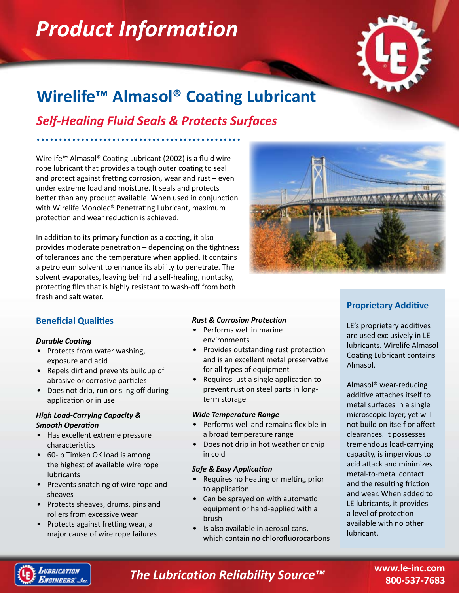# *Product Information*



# **Wirelife™ Almasol® Coating Lubricant**

*Self-Healing Fluid Seals & Protects Surfaces*

Wirelife™ Almasol® Coating Lubricant (2002) is a fluid wire rope lubricant that provides a tough outer coating to seal and protect against fretting corrosion, wear and rust – even under extreme load and moisture. It seals and protects better than any product available. When used in conjunction with Wirelife Monolec® Penetrating Lubricant, maximum protection and wear reduction is achieved.

In addition to its primary function as a coating, it also provides moderate penetration – depending on the tightness of tolerances and the temperature when applied. It contains a petroleum solvent to enhance its ability to penetrate. The solvent evaporates, leaving behind a self-healing, nontacky, protecting film that is highly resistant to wash-off from both fresh and salt water.



# **Beneficial Qualities**

## *Durable Coating*

- Protects from water washing, exposure and acid
- Repels dirt and prevents buildup of abrasive or corrosive particles
- Does not drip, run or sling off during application or in use

## *High Load-Carrying Capacity & Smooth Operation*

- Has excellent extreme pressure characteristics
- 60-lb Timken OK load is among the highest of available wire rope lubricants
- Prevents snatching of wire rope and sheaves
- Protects sheaves, drums, pins and rollers from excessive wear
- Protects against fretting wear, a major cause of wire rope failures

## *Rust & Corrosion Protection*

- Performs well in marine environments
- Provides outstanding rust protection and is an excellent metal preservative for all types of equipment
- Requires just a single application to prevent rust on steel parts in longterm storage

## *Wide Temperature Range*

- Performs well and remains flexible in a broad temperature range
- Does not drip in hot weather or chip in cold

## *Safe & Easy Application*

- Requires no heating or melting prior to application
- Can be sprayed on with automatic equipment or hand-applied with a brush •
- Is also available in aerosol cans, which contain no chlorofluorocarbons •

# **Proprietary Additive**

LE's proprietary additives are used exclusively in LE lubricants. Wirelife Almasol Coating Lubricant contains Almasol.

Almasol® wear-reducing additive attaches itself to metal surfaces in a single microscopic layer, yet will not build on itself or affect clearances. It possesses tremendous load-carrying capacity, is impervious to acid attack and minimizes metal-to-metal contact and the resulting friction and wear. When added to LE lubricants, it provides a level of protection available with no other lubricant.



# *The Lubrication Reliability Source™*

**www.le-inc.com 800-537-7683**